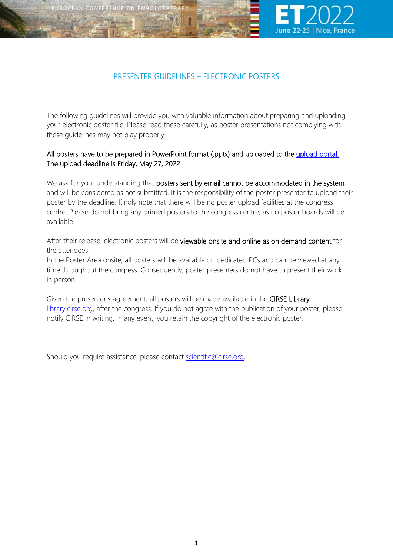



# PRESENTER GUIDELINES – ELECTRONIC POSTERS

The following guidelines will provide you with valuable information about preparing and uploading your electronic poster file. Please read these carefully, as poster presentations not complying with these guidelines may not play properly.

## All posters have to be prepared in PowerPoint format (.pptx) and uploaded to the upload portal. The upload deadline is Friday, May 27, 2022.

We ask for your understanding that posters sent by email cannot be accommodated in the system and will be considered as not submitted. It is the responsibility of the poster presenter to upload their poster by the deadline. Kindly note that there will be no poster upload facilities at the congress centre. Please do not bring any printed posters to the congress centre, as no poster boards will be available.

After their release, electronic posters will be viewable onsite and online as on demand content for the attendees.

In the Poster Area onsite, all posters will be available on dedicated PCs and can be viewed at any time throughout the congress. Consequently, poster presenters do not have to present their work in person.

Given the presenter's agreement, all posters will be made available in the CIRSE Library, [library.cirse.org,](https://library.cirse.org/) after the congress. If you do not agree with the publication of your poster, please notify CIRSE in writing. In any event, you retain the copyright of the electronic poster.

Should you require assistance, please contact [scientific@cirse.org.](mailto:scientific@cirse.org)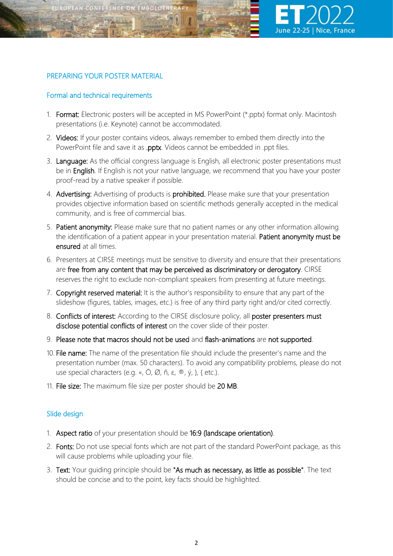

### PREPARING YOUR POSTER MATERIAL

#### Formal and technical requirements

- 1. Format: Electronic posters will be accepted in MS PowerPoint (\*.pptx) format only. Macintosh presentations (i.e. Keynote) cannot be accommodated.
- 2. Videos: If your poster contains videos, always remember to embed them directly into the PowerPoint file and save it as **.pptx**. Videos cannot be embedded in .ppt files.
- 3. Language: As the official congress language is English, all electronic poster presentations must be in English. If English is not your native language, we recommend that you have your poster proof-read by a native speaker if possible.
- 4. Advertising: Advertising of products is prohibited. Please make sure that your presentation provides objective information based on scientific methods generally accepted in the medical community, and is free of commercial bias.
- 5. Patient anonymity: Please make sure that no patient names or any other information allowing the identification of a patient appear in your presentation material. Patient anonymity must be ensured at all times.
- 6. Presenters at CIRSE meetings must be sensitive to diversity and ensure that their presentations are free from any content that may be perceived as discriminatory or derogatory. CIRSE reserves the right to exclude non-compliant speakers from presenting at future meetings.
- 7. Copyright reserved material: It is the author's responsibility to ensure that any part of the slideshow (figures, tables, images, etc.) is free of any third party right and/or cited correctly.
- 8. Conflicts of interest: According to the CIRSE disclosure policy, all poster presenters must disclose potential conflicts of interest on the cover slide of their poster.
- 9. Please note that macros should not be used and flash-animations are not supported.
- 10. File name: The name of the presentation file should include the presenter's name and the presentation number (max. 50 characters). To avoid any compatibility problems, please do not use special characters (e.g. «, Ö, Ø, ñ, ε, ®, ý, }, { etc.).
- 11. File size: The maximum file size per poster should be 20 MB.

#### Slide design

- 1. Aspect ratio of your presentation should be 16:9 (landscape orientation).
- 2. Fonts: Do not use special fonts which are not part of the standard PowerPoint package, as this will cause problems while uploading your file.
- 3. Text: Your quiding principle should be "As much as necessary, as little as possible". The text should be concise and to the point, key facts should be highlighted.